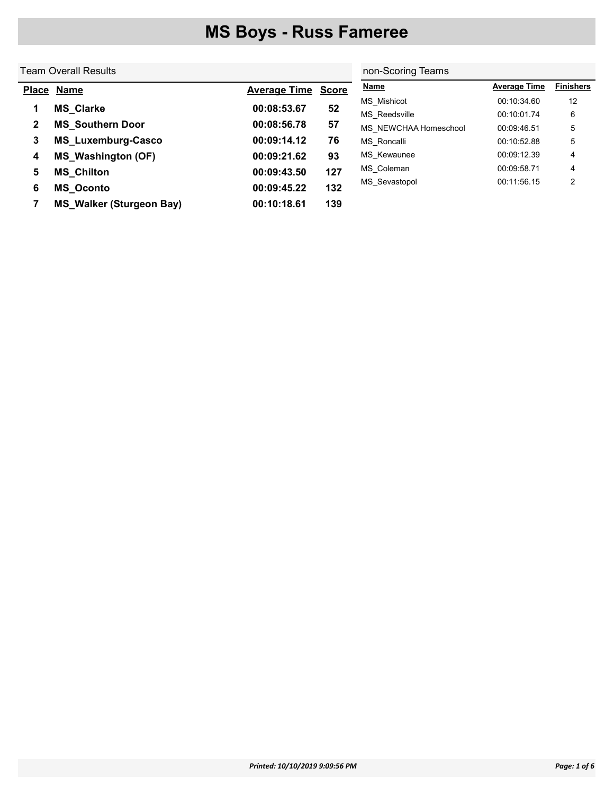#### Team Overall Results Place Name **Average Time** Score 1 MS\_Clarke 00:08:53.67 52 2 MS\_Southern Door 00:08:56.78 57 3 MS\_Luxemburg-Casco 00:09:14.12 76 4 MS\_Washington (OF) 00:09:21.62 93 5 MS\_Chilton 00:09:43.50 127 6 MS\_Oconto 00:09:45.22 132 7 MS\_Walker (Sturgeon Bay) 00:10:18.61 139 non-Scoring Teams Name **Name Average Time** Finishers MS Mishicot 00:10:34.60 12 MS\_Reedsville 00:10:01.74 6 MS\_NEWCHAA Homeschool 00:09:46.51 5 MS\_Roncalli 00:10:52.88 5 MS\_Kewaunee 00:09:12.39 4 MS\_Coleman 00:09:58.71 4 MS\_Sevastopol 00:11:56.15 2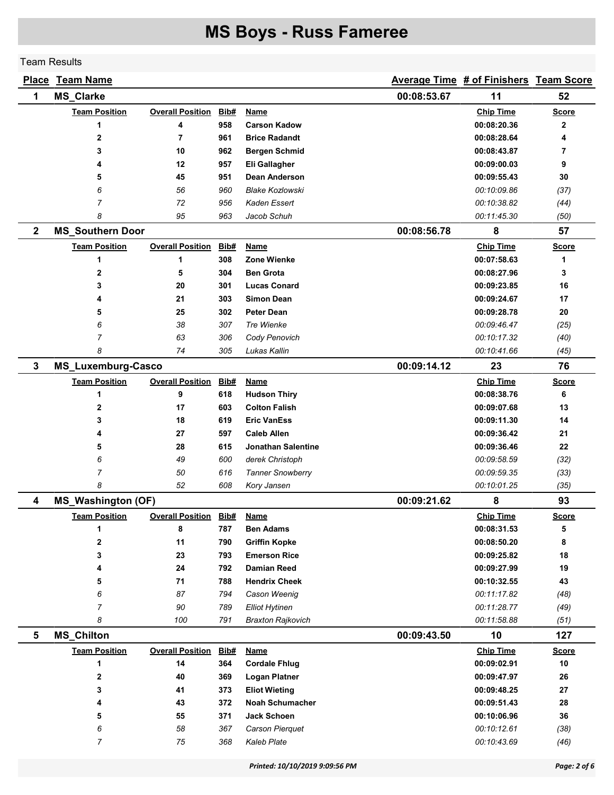Team Results

|                | <b>Place Team Name</b>    |                         |      |                          |             | Average Time # of Finishers Team Score |              |
|----------------|---------------------------|-------------------------|------|--------------------------|-------------|----------------------------------------|--------------|
| 1              | <b>MS_Clarke</b>          |                         |      |                          | 00:08:53.67 | 11                                     | 52           |
|                | <b>Team Position</b>      | <b>Overall Position</b> | Bib# | <b>Name</b>              |             | <b>Chip Time</b>                       | <b>Score</b> |
|                | 1                         | 4                       | 958  | <b>Carson Kadow</b>      |             | 00:08:20.36                            | $\mathbf{2}$ |
|                | 2                         | $\overline{7}$          | 961  | <b>Brice Radandt</b>     |             | 00:08:28.64                            | 4            |
|                | 3                         | 10                      | 962  | <b>Bergen Schmid</b>     |             | 00:08:43.87                            | 7            |
|                | 4                         | 12                      | 957  | Eli Gallagher            |             | 00:09:00.03                            | 9            |
|                | 5                         | 45                      | 951  | Dean Anderson            |             | 00:09:55.43                            | 30           |
|                | 6                         | 56                      | 960  | <b>Blake Kozlowski</b>   |             | 00:10:09.86                            | (37)         |
|                | 7                         | 72                      | 956  | Kaden Essert             |             | 00:10:38.82                            | (44)         |
|                | 8                         | 95                      | 963  | Jacob Schuh              |             | 00:11:45.30                            | (50)         |
| $\mathbf{2}$   | <b>MS_Southern Door</b>   |                         |      |                          | 00:08:56.78 | 8                                      | 57           |
|                | <b>Team Position</b>      | <b>Overall Position</b> | Bib# | Name                     |             | <b>Chip Time</b>                       | <b>Score</b> |
|                | 1                         | 1                       | 308  | Zone Wienke              |             | 00:07:58.63                            | 1            |
|                | 2                         | 5                       | 304  | <b>Ben Grota</b>         |             | 00:08:27.96                            | 3            |
|                | 3                         | 20                      | 301  | <b>Lucas Conard</b>      |             | 00:09:23.85                            | 16           |
|                | 4                         | 21                      | 303  | <b>Simon Dean</b>        |             | 00:09:24.67                            | 17           |
|                | 5                         | 25                      | 302  | <b>Peter Dean</b>        |             | 00:09:28.78                            | 20           |
|                | 6                         | 38                      | 307  | Tre Wienke               |             | 00:09:46.47                            | (25)         |
|                | 7                         | 63                      | 306  | Cody Penovich            |             | 00:10:17.32                            | (40)         |
|                | 8                         | 74                      | 305  | Lukas Kallin             |             | 00:10:41.66                            | (45)         |
| $\mathbf{3}$   | <b>MS_Luxemburg-Casco</b> |                         |      |                          | 00:09:14.12 | 23                                     | 76           |
|                | <b>Team Position</b>      | <b>Overall Position</b> | Bib# | <b>Name</b>              |             | <b>Chip Time</b>                       | <b>Score</b> |
|                | 1                         | 9                       | 618  | <b>Hudson Thiry</b>      |             | 00:08:38.76                            | 6            |
|                | 2                         | 17                      | 603  | <b>Colton Falish</b>     |             | 00:09:07.68                            | 13           |
|                | 3                         | 18                      | 619  | <b>Eric VanEss</b>       |             | 00:09:11.30                            | 14           |
|                | 4                         | 27                      | 597  | <b>Caleb Allen</b>       |             | 00:09:36.42                            | 21           |
|                | 5                         | 28                      | 615  | Jonathan Salentine       |             | 00:09:36.46                            | 22           |
|                | 6                         | 49                      | 600  | derek Christoph          |             | 00:09:58.59                            | (32)         |
|                | 7                         | 50                      | 616  | <b>Tanner Snowberry</b>  |             | 00:09:59.35                            | (33)         |
|                | 8                         | 52                      | 608  | Kory Jansen              |             | 00:10:01.25                            | (35)         |
| 4              | <b>MS_Washington (OF)</b> |                         |      |                          | 00:09:21.62 | 8                                      | 93           |
|                | <b>Team Position</b>      | <b>Overall Position</b> | Bib# | <b>Name</b>              |             | <b>Chip Time</b>                       | <b>Score</b> |
|                | 1                         | 8                       | 787  | <b>Ben Adams</b>         |             | 00:08:31.53                            | 5            |
|                | 2                         | 11                      | 790  | <b>Griffin Kopke</b>     |             | 00:08:50.20                            | 8            |
|                | 3                         | 23                      | 793  | <b>Emerson Rice</b>      |             | 00:09:25.82                            | 18           |
|                | 4                         | 24                      | 792  | <b>Damian Reed</b>       |             | 00:09:27.99                            | 19           |
|                | 5                         | 71                      | 788  | <b>Hendrix Cheek</b>     |             | 00:10:32.55                            | 43           |
|                | 6                         | 87                      | 794  | Cason Weenig             |             | 00:11:17.82                            | (48)         |
|                | 7                         | 90                      | 789  | <b>Elliot Hytinen</b>    |             | 00:11:28.77                            | (49)         |
|                | 8                         | 100                     | 791  | <b>Braxton Rajkovich</b> |             | 00:11:58.88                            | (51)         |
| $5\phantom{1}$ | <b>MS_Chilton</b>         |                         |      |                          | 00:09:43.50 | 10                                     | 127          |
|                | <b>Team Position</b>      | <b>Overall Position</b> | Bib# | <b>Name</b>              |             | <b>Chip Time</b>                       | <b>Score</b> |
|                | 1                         | 14                      | 364  | <b>Cordale Fhlug</b>     |             | 00:09:02.91                            | 10           |
|                | 2                         | 40                      | 369  | <b>Logan Platner</b>     |             | 00:09:47.97                            | 26           |
|                | 3                         | 41                      | 373  | <b>Eliot Wieting</b>     |             | 00:09:48.25                            | 27           |
|                | 4                         | 43                      | 372  | <b>Noah Schumacher</b>   |             | 00:09:51.43                            | 28           |
|                | 5                         | 55                      | 371  | Jack Schoen              |             | 00:10:06.96                            | 36           |
|                | 6                         | 58                      | 367  | Carson Pierquet          |             | 00:10:12.61                            | (38)         |
|                | 7                         | 75                      | 368  | <b>Kaleb Plate</b>       |             | 00:10:43.69                            | (46)         |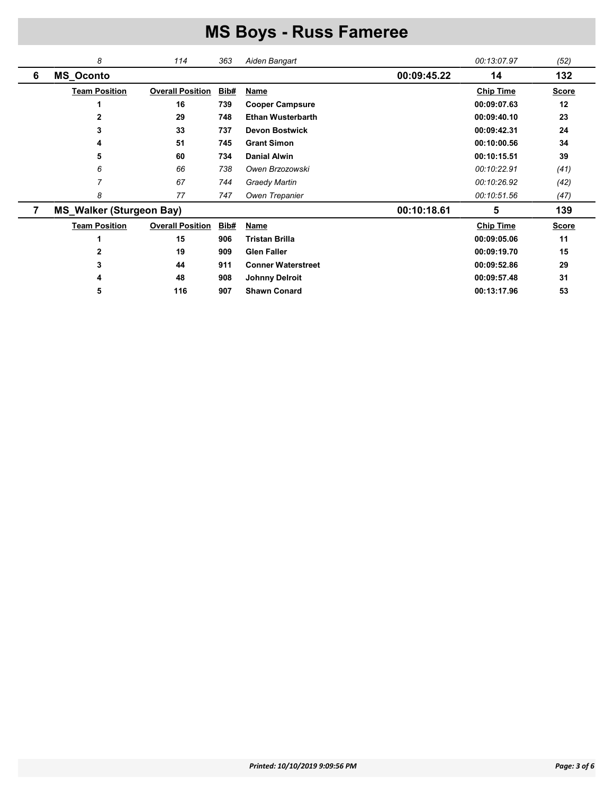|   | 8                               | 114                     | 363         | Aiden Bangart             |             | 00:13:07.97      | (52)         |
|---|---------------------------------|-------------------------|-------------|---------------------------|-------------|------------------|--------------|
| 6 | <b>MS_Oconto</b>                |                         |             |                           | 00:09:45.22 | 14               | 132          |
|   | <b>Team Position</b>            | <b>Overall Position</b> | Bib#        | <b>Name</b>               |             | <b>Chip Time</b> | <b>Score</b> |
|   |                                 | 16                      | 739         | <b>Cooper Campsure</b>    |             | 00:09:07.63      | 12           |
|   | 2                               | 29                      | 748         | <b>Ethan Wusterbarth</b>  |             | 00:09:40.10      | 23           |
|   | 3                               | 33                      | 737         | <b>Devon Bostwick</b>     |             | 00:09:42.31      | 24           |
|   | 4                               | 51                      | 745         | <b>Grant Simon</b>        |             | 00:10:00.56      | 34           |
|   | 5                               | 60                      | 734         | <b>Danial Alwin</b>       |             | 00:10:15.51      | 39           |
|   | 6                               | 66                      | 738         | Owen Brzozowski           |             | 00:10:22.91      | (41)         |
|   | 7                               | 67                      | 744         | <b>Graedy Martin</b>      |             | 00:10:26.92      | (42)         |
|   | 8                               | 77                      | 747         | Owen Trepanier            |             | 00:10:51.56      | (47)         |
| 7 | <b>MS_Walker (Sturgeon Bay)</b> |                         |             |                           | 00:10:18.61 | 5                | 139          |
|   | <b>Team Position</b>            | <b>Overall Position</b> | <b>Bib#</b> | <b>Name</b>               |             | <b>Chip Time</b> | <b>Score</b> |
|   |                                 | 15                      | 906         | <b>Tristan Brilla</b>     |             | 00:09:05.06      | 11           |
|   | 2                               | 19                      | 909         | <b>Glen Faller</b>        |             | 00:09:19.70      | 15           |
|   | 3                               | 44                      | 911         | <b>Conner Waterstreet</b> |             | 00:09:52.86      | 29           |
|   | 4                               | 48                      | 908         | <b>Johnny Delroit</b>     |             | 00:09:57.48      | 31           |
|   | 5                               | 116                     | 907         | <b>Shawn Conard</b>       |             | 00:13:17.96      | 53           |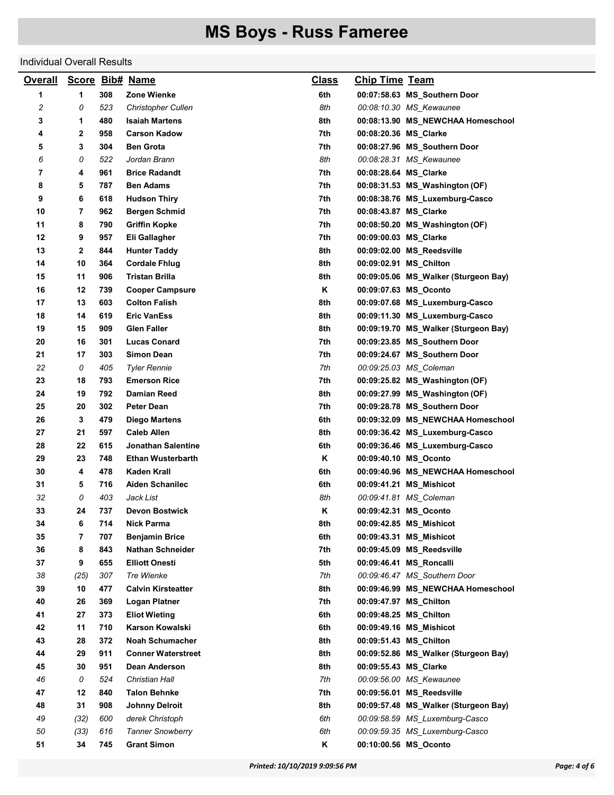#### Individual Overall Results

| <b>Overall</b> |      |     | Score Bib# Name           | <b>Class</b> | <b>Chip Time Team</b>  |                                      |
|----------------|------|-----|---------------------------|--------------|------------------------|--------------------------------------|
| 1              | 1    | 308 | Zone Wienke               | 6th          |                        | 00:07:58.63 MS_Southern Door         |
| 2              | 0    | 523 | <b>Christopher Cullen</b> | 8th          |                        | 00:08:10.30 MS_Kewaunee              |
| 3              | 1    | 480 | <b>Isaiah Martens</b>     | 8th          |                        | 00:08:13.90 MS_NEWCHAA Homeschool    |
| 4              | 2    | 958 | <b>Carson Kadow</b>       | 7th          | 00:08:20.36 MS Clarke  |                                      |
| 5              | 3    | 304 | <b>Ben Grota</b>          | 7th          |                        | 00:08:27.96 MS_Southern Door         |
| 6              | 0    | 522 | Jordan Brann              | 8th          |                        | 00:08:28.31 MS_Kewaunee              |
| 7              | 4    | 961 | <b>Brice Radandt</b>      | 7th          | 00:08:28.64 MS_Clarke  |                                      |
| 8              | 5    | 787 | <b>Ben Adams</b>          | 7th          |                        | 00:08:31.53 MS Washington (OF)       |
| 9              | 6    | 618 | <b>Hudson Thiry</b>       | 7th          |                        | 00:08:38.76 MS_Luxemburg-Casco       |
| 10             | 7    | 962 | <b>Bergen Schmid</b>      | 7th          | 00:08:43.87 MS_Clarke  |                                      |
| 11             | 8    | 790 | <b>Griffin Kopke</b>      | 7th          |                        | 00:08:50.20 MS_Washington (OF)       |
| 12             | 9    | 957 | Eli Gallagher             | 7th          | 00:09:00.03 MS_Clarke  |                                      |
| 13             | 2    | 844 | <b>Hunter Taddy</b>       | 8th          |                        | 00:09:02.00 MS_Reedsville            |
| 14             | 10   | 364 | <b>Cordale Fhlug</b>      | 8th          | 00:09:02.91 MS_Chilton |                                      |
| 15             | 11   | 906 | Tristan Brilla            | 8th          |                        | 00:09:05.06 MS_Walker (Sturgeon Bay) |
| 16             | 12   | 739 | <b>Cooper Campsure</b>    | Κ            | 00:09:07.63 MS_Oconto  |                                      |
| 17             | 13   | 603 | <b>Colton Falish</b>      | 8th          |                        | 00:09:07.68 MS_Luxemburg-Casco       |
| 18             | 14   | 619 | <b>Eric VanEss</b>        | 8th          |                        | 00:09:11.30 MS_Luxemburg-Casco       |
| 19             | 15   | 909 | <b>Glen Faller</b>        | 8th          |                        | 00:09:19.70 MS_Walker (Sturgeon Bay) |
| 20             | 16   | 301 | <b>Lucas Conard</b>       | 7th          |                        | 00:09:23.85 MS_Southern Door         |
| 21             | 17   | 303 | <b>Simon Dean</b>         | 7th          |                        | 00:09:24.67 MS_Southern Door         |
| 22             | 0    | 405 | <b>Tyler Rennie</b>       | 7th          |                        | 00:09:25.03 MS_Coleman               |
| 23             | 18   | 793 | <b>Emerson Rice</b>       | 7th          |                        | 00:09:25.82 MS_Washington (OF)       |
| 24             | 19   | 792 | <b>Damian Reed</b>        | 8th          |                        | 00:09:27.99 MS_Washington (OF)       |
| 25             | 20   | 302 | Peter Dean                | 7th          |                        | 00:09:28.78 MS_Southern Door         |
| 26             | 3    | 479 | Diego Martens             | 6th          |                        | 00:09:32.09 MS_NEWCHAA Homeschool    |
| 27             | 21   | 597 | <b>Caleb Allen</b>        | 8th          |                        | 00:09:36.42 MS_Luxemburg-Casco       |
| 28             | 22   | 615 | Jonathan Salentine        | 6th          |                        | 00:09:36.46 MS_Luxemburg-Casco       |
| 29             | 23   | 748 | <b>Ethan Wusterbarth</b>  | Κ            | 00:09:40.10 MS_Oconto  |                                      |
| 30             | 4    | 478 | Kaden Krall               | 6th          |                        | 00:09:40.96 MS NEWCHAA Homeschool    |
| 31             | 5    | 716 | <b>Aiden Schanilec</b>    | 6th          |                        | 00:09:41.21 MS_Mishicot              |
| 32             | 0    | 403 | Jack List                 | 8th          |                        | 00:09:41.81 MS_Coleman               |
| 33             | 24   | 737 | <b>Devon Bostwick</b>     | Κ            | 00:09:42.31 MS Oconto  |                                      |
| 34             | 6    | 714 | <b>Nick Parma</b>         | 8th          |                        | 00:09:42.85 MS_Mishicot              |
| 35             | 7    | 707 | <b>Benjamin Brice</b>     | 6th          |                        | 00:09:43.31 MS_Mishicot              |
| 36             | 8    | 843 | <b>Nathan Schneider</b>   | 7th          |                        | 00:09:45.09 MS_Reedsville            |
| 37             | 9    | 655 | <b>Elliott Onesti</b>     | 5th          |                        | 00:09:46.41 MS_Roncalli              |
| 38             | (25) | 307 | Tre Wienke                | 7th          |                        | 00:09:46.47 MS_Southern Door         |
| 39             | 10   | 477 | <b>Calvin Kirsteatter</b> | 8th          |                        | 00:09:46.99 MS_NEWCHAA Homeschool    |
| 40             | 26   | 369 | <b>Logan Platner</b>      | 7th          | 00:09:47.97 MS_Chilton |                                      |
| 41             | 27   | 373 | <b>Eliot Wieting</b>      | 6th          | 00:09:48.25 MS_Chilton |                                      |
| 42             | 11   | 710 | Karson Kowalski           | 6th          |                        | 00:09:49.16 MS_Mishicot              |
| 43             | 28   | 372 | <b>Noah Schumacher</b>    | 8th          | 00:09:51.43 MS_Chilton |                                      |
| 44             | 29   | 911 | <b>Conner Waterstreet</b> | 8th          |                        | 00:09:52.86 MS_Walker (Sturgeon Bay) |
| 45             | 30   | 951 | <b>Dean Anderson</b>      | 8th          | 00:09:55.43 MS Clarke  |                                      |
| 46             | 0    | 524 | Christian Hall            | 7th          |                        | 00:09:56.00 MS_Kewaunee              |
| 47             | 12   | 840 | <b>Talon Behnke</b>       | 7th          |                        | 00:09:56.01 MS Reedsville            |
| 48             | 31   | 908 | <b>Johnny Delroit</b>     | 8th          |                        | 00:09:57.48 MS_Walker (Sturgeon Bay) |
| 49             | (32) | 600 | derek Christoph           | 6th          |                        | 00:09:58.59 MS_Luxemburg-Casco       |
| 50             | (33) | 616 | <b>Tanner Snowberry</b>   | 6th          |                        | 00:09:59.35 MS_Luxemburg-Casco       |
| 51             | 34   | 745 | <b>Grant Simon</b>        | Κ            | 00:10:00.56 MS_Oconto  |                                      |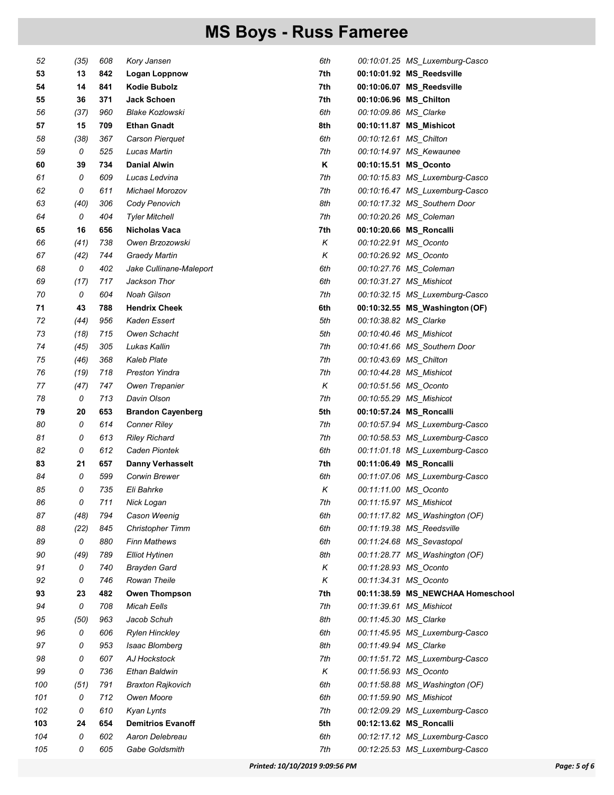| 52  | (35) | 608 | Kory Jansen              | 6th |                        | 00:10:01.25 MS_Luxemburg-Casco    |
|-----|------|-----|--------------------------|-----|------------------------|-----------------------------------|
| 53  | 13   | 842 | Logan Loppnow            | 7th |                        | 00:10:01.92 MS_Reedsville         |
| 54  | 14   | 841 | <b>Kodie Bubolz</b>      | 7th |                        | 00:10:06.07 MS_Reedsville         |
| 55  | 36   | 371 | <b>Jack Schoen</b>       | 7th |                        | 00:10:06.96 MS_Chilton            |
| 56  | (37) | 960 | <b>Blake Kozlowski</b>   | 6th | 00:10:09.86 MS Clarke  |                                   |
| 57  | 15   | 709 | <b>Ethan Gnadt</b>       | 8th |                        | 00:10:11.87 MS_Mishicot           |
| 58  | (38) | 367 | Carson Pierquet          | 6th | 00:10:12.61 MS_Chilton |                                   |
| 59  | 0    | 525 | Lucas Martin             | 7th |                        | 00:10:14.97 MS_Kewaunee           |
| 60  | 39   | 734 | <b>Danial Alwin</b>      | Κ   |                        | 00:10:15.51 MS_Oconto             |
| 61  | 0    | 609 | Lucas Ledvina            | 7th |                        | 00:10:15.83 MS_Luxemburg-Casco    |
| 62  | 0    | 611 | Michael Morozov          | 7th |                        | 00:10:16.47 MS_Luxemburg-Casco    |
| 63  | (40) | 306 | Cody Penovich            | 8th |                        | 00:10:17.32 MS_Southern Door      |
| 64  | 0    | 404 | <b>Tyler Mitchell</b>    | 7th |                        | 00:10:20.26 MS_Coleman            |
| 65  | 16   | 656 | Nicholas Vaca            | 7th |                        | 00:10:20.66 MS_Roncalli           |
| 66  | (41) | 738 | Owen Brzozowski          | Κ   |                        | 00:10:22.91 MS_Oconto             |
| 67  | (42) | 744 | <b>Graedy Martin</b>     | Κ   |                        | 00:10:26.92 MS_Oconto             |
| 68  | 0    | 402 | Jake Cullinane-Maleport  | 6th |                        | 00:10:27.76 MS_Coleman            |
| 69  | (17) | 717 | Jackson Thor             | 6th |                        | 00:10:31.27 MS_Mishicot           |
| 70  | 0    | 604 | <b>Noah Gilson</b>       | 7th |                        | 00:10:32.15 MS_Luxemburg-Casco    |
| 71  | 43   | 788 | <b>Hendrix Cheek</b>     | 6th |                        | 00:10:32.55 MS_Washington (OF)    |
| 72  | (44) | 956 | Kaden Essert             | 5th | 00:10:38.82 MS_Clarke  |                                   |
| 73  | (18) | 715 | Owen Schacht             | 5th |                        | 00:10:40.46 MS_Mishicot           |
| 74  | (45) | 305 | Lukas Kallin             | 7th |                        | 00:10:41.66 MS_Southern Door      |
| 75  | (46) | 368 | <b>Kaleb Plate</b>       | 7th | 00:10:43.69 MS_Chilton |                                   |
| 76  | (19) | 718 | <b>Preston Yindra</b>    | 7th |                        | 00:10:44.28 MS_Mishicot           |
| 77  | (47) | 747 | Owen Trepanier           | Κ   |                        | 00:10:51.56 MS_Oconto             |
| 78  | 0    | 713 | Davin Olson              | 7th |                        | 00:10:55.29 MS_Mishicot           |
| 79  | 20   | 653 | <b>Brandon Cayenberg</b> | 5th |                        | 00:10:57.24 MS_Roncalli           |
| 80  | 0    | 614 | <b>Conner Riley</b>      | 7th |                        | 00:10:57.94 MS_Luxemburg-Casco    |
| 81  | 0    | 613 | <b>Riley Richard</b>     | 7th |                        | 00:10:58.53 MS_Luxemburg-Casco    |
| 82  | 0    | 612 | Caden Piontek            | 6th |                        | 00:11:01.18 MS_Luxemburg-Casco    |
| 83  | 21   | 657 | <b>Danny Verhasselt</b>  | 7th |                        | 00:11:06.49 MS_Roncalli           |
| 84  | 0    | 599 | Corwin Brewer            | 6th |                        | 00:11:07.06 MS_Luxemburg-Casco    |
| 85  | 0    | 735 | Eli Bahrke               | Κ   |                        | 00:11:11.00 MS_Oconto             |
| 86  | 0    | 711 | Nick Logan               | 7th |                        | 00:11:15.97 MS_Mishicot           |
| 87  | (48) | 794 | Cason Weenig             | 6th |                        | 00:11:17.82 MS_Washington (OF)    |
| 88  | (22) | 845 | <b>Christopher Timm</b>  | 6th |                        | 00:11:19.38 MS_Reedsville         |
| 89  | 0    | 880 | <b>Finn Mathews</b>      | 6th |                        | 00:11:24.68 MS_Sevastopol         |
| 90  | (49) | 789 | <b>Elliot Hytinen</b>    | 8th |                        | 00:11:28.77 MS_Washington (OF)    |
| 91  | 0    | 740 | <b>Brayden Gard</b>      | Κ   |                        | 00:11:28.93 MS Oconto             |
| 92  | 0    | 746 | Rowan Theile             | Κ   |                        | 00:11:34.31 MS_Oconto             |
| 93  | 23   | 482 | <b>Owen Thompson</b>     | 7th |                        | 00:11:38.59 MS_NEWCHAA Homeschool |
| 94  | 0    | 708 | <b>Micah Eells</b>       | 7th |                        | 00:11:39.61 MS_Mishicot           |
| 95  | (50) | 963 | Jacob Schuh              | 8th | 00:11:45.30 MS_Clarke  |                                   |
| 96  | 0    | 606 | <b>Rylen Hinckley</b>    | 6th |                        | 00:11:45.95 MS_Luxemburg-Casco    |
| 97  | 0    | 953 | Isaac Blomberg           | 8th | 00:11:49.94 MS_Clarke  |                                   |
| 98  | 0    | 607 | AJ Hockstock             | 7th |                        | 00:11:51.72 MS_Luxemburg-Casco    |
| 99  | 0    | 736 | Ethan Baldwin            | Κ   |                        | 00:11:56.93 MS_Oconto             |
| 100 | (51) | 791 | <b>Braxton Rajkovich</b> | 6th |                        | 00:11:58.88 MS_Washington (OF)    |
| 101 | 0    | 712 | Owen Moore               | 6th |                        | 00:11:59.90 MS_Mishicot           |
| 102 | 0    | 610 | Kyan Lynts               | 7th |                        | 00:12:09.29 MS_Luxemburg-Casco    |
| 103 | 24   | 654 | <b>Demitrios Evanoff</b> | 5th |                        | 00:12:13.62 MS_Roncalli           |
| 104 | 0    | 602 | Aaron Delebreau          | 6th |                        | 00:12:17.12 MS_Luxemburg-Casco    |
| 105 | 0    | 605 | Gabe Goldsmith           | 7th |                        | 00:12:25.53 MS_Luxemburg-Casco    |
|     |      |     |                          |     |                        |                                   |